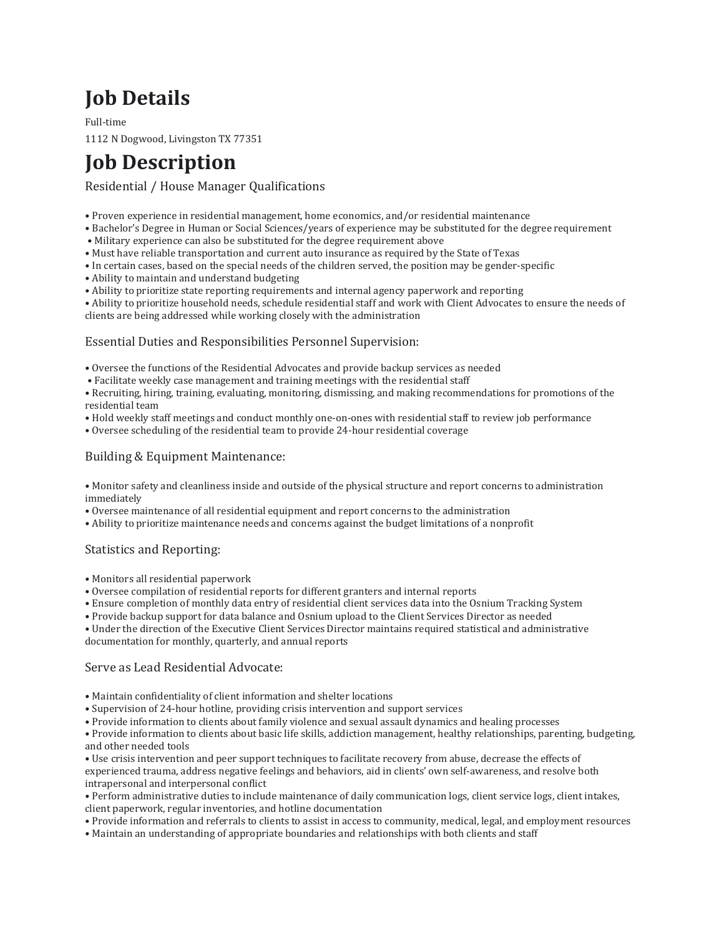# **Job Details**

Full-time 1112 N Dogwood, Livingston TX 77351

# **Job Description**

## Residential / House Manager Qualifications

- Proven experience in residential management, home economics, and/or residential maintenance
- Bachelor's Degree in Human or Social Sciences/years of experience may be substituted for the degree requirement
- Military experience can also be substituted for the degree requirement above
- Must have reliable transportation and current auto insurance as required by the State of Texas
- In certain cases, based on the special needs of the children served, the position may be gender-specific
- Ability to maintain and understand budgeting
- Ability to prioritize state reporting requirements and internal agency paperwork and reporting

• Ability to prioritize household needs, schedule residential staff and work with Client Advocates to ensure the needs of clients are being addressed while working closely with the administration

### Essential Duties and Responsibilities Personnel Supervision:

- Oversee the functions of the Residential Advocates and provide backup services as needed
- Facilitate weekly case management and training meetings with the residential staff
- Recruiting, hiring, training, evaluating, monitoring, dismissing, and making recommendations for promotions of the residential team
- Hold weekly staff meetings and conduct monthly one-on-ones with residential staff to review job performance
- Oversee scheduling of the residential team to provide 24-hour residential coverage

#### Building & Equipment Maintenance:

- Monitor safety and cleanliness inside and outside of the physical structure and report concerns to administration immediately
- Oversee maintenance of all residential equipment and report concerns to the administration
- Ability to prioritize maintenance needs and concerns against the budget limitations of a nonprofit

### Statistics and Reporting:

- Monitors all residential paperwork
- Oversee compilation of residential reports for different granters and internal reports
- Ensure completion of monthly data entry of residential client services data into the Osnium Tracking System
- Provide backup support for data balance and Osnium upload to the Client Services Director as needed
- Under the direction of the Executive Client Services Director maintains required statistical and administrative documentation for monthly, quarterly, and annual reports

#### Serve as Lead Residential Advocate:

- Maintain confidentiality of client information and shelter locations
- Supervision of 24-hour hotline, providing crisis intervention and support services
- Provide information to clients about family violence and sexual assault dynamics and healing processes

• Provide information to clients about basic life skills, addiction management, healthy relationships, parenting, budgeting, and other needed tools

• Use crisis intervention and peer support techniques to facilitate recovery from abuse, decrease the effects of experienced trauma, address negative feelings and behaviors, aid in clients' own self-awareness, and resolve both intrapersonal and interpersonal conflict

- Perform administrative duties to include maintenance of daily communication logs, client service logs, client intakes, client paperwork, regular inventories, and hotline documentation
- Provide information and referrals to clients to assist in access to community, medical, legal, and employment resources
- Maintain an understanding of appropriate boundaries and relationships with both clients and staff